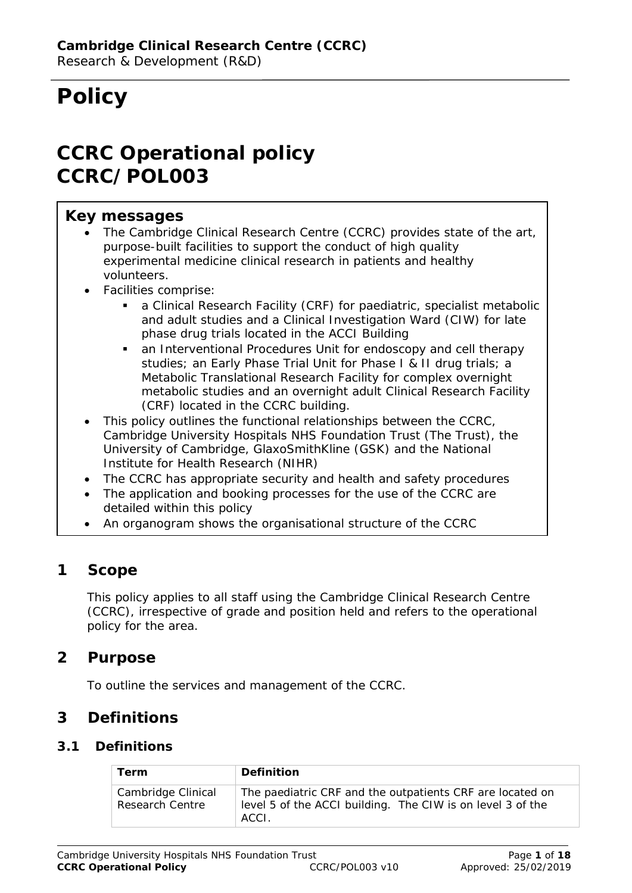# **Policy**

# **CCRC Operational policy CCRC/POL003**

# **Key messages**

- The Cambridge Clinical Research Centre (CCRC) provides state of the art, purpose-built facilities to support the conduct of high quality experimental medicine clinical research in patients and healthy volunteers.
- Facilities comprise:
	- a Clinical Research Facility (CRF) for paediatric, specialist metabolic and adult studies and a Clinical Investigation Ward (CIW) for late phase drug trials located in the ACCI Building
	- an Interventional Procedures Unit for endoscopy and cell therapy studies; an Early Phase Trial Unit for Phase I & II drug trials; a Metabolic Translational Research Facility for complex overnight metabolic studies and an overnight adult Clinical Research Facility (CRF) located in the CCRC building.
- This policy outlines the functional relationships between the CCRC, Cambridge University Hospitals NHS Foundation Trust (The Trust), the University of Cambridge, GlaxoSmithKline (GSK) and the National Institute for Health Research (NIHR)
- The CCRC has appropriate security and health and safety procedures
- The application and booking processes for the use of the CCRC are detailed within this policy
- An organogram shows the organisational structure of the CCRC

# **1 Scope**

This policy applies to all staff using the Cambridge Clinical Research Centre (CCRC), irrespective of grade and position held and refers to the operational policy for the area.

# **2 Purpose**

To outline the services and management of the CCRC.

# **3 Definitions**

#### **3.1 Definitions**

| <b>Term</b>                           | <b>Definition</b>                                                                                                                |
|---------------------------------------|----------------------------------------------------------------------------------------------------------------------------------|
| Cambridge Clinical<br>Research Centre | The paediatric CRF and the outpatients CRF are located on<br>level 5 of the ACCI building. The CIW is on level 3 of the<br>ACCL. |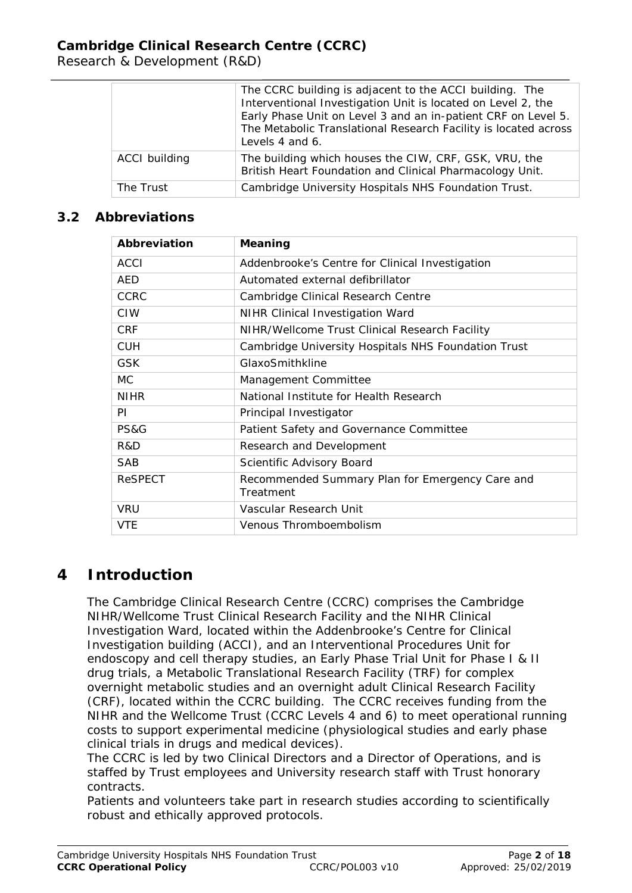Research & Development (R&D)

|               | The CCRC building is adjacent to the ACCI building. The<br>Interventional Investigation Unit is located on Level 2, the<br>Early Phase Unit on Level 3 and an in-patient CRF on Level 5.<br>The Metabolic Translational Research Facility is located across<br>Levels 4 and 6. |  |
|---------------|--------------------------------------------------------------------------------------------------------------------------------------------------------------------------------------------------------------------------------------------------------------------------------|--|
| ACCI building | The building which houses the CIW, CRF, GSK, VRU, the<br>British Heart Foundation and Clinical Pharmacology Unit.                                                                                                                                                              |  |
| The Trust     | Cambridge University Hospitals NHS Foundation Trust.                                                                                                                                                                                                                           |  |

### **3.2 Abbreviations**

| Abbreviation    | Meaning                                                      |  |
|-----------------|--------------------------------------------------------------|--|
| <b>ACCI</b>     | Addenbrooke's Centre for Clinical Investigation              |  |
| AED             | Automated external defibrillator                             |  |
| <b>CCRC</b>     | Cambridge Clinical Research Centre                           |  |
| <b>CIW</b>      | NIHR Clinical Investigation Ward                             |  |
| <b>CRF</b>      | NIHR/Wellcome Trust Clinical Research Facility               |  |
| <b>CUH</b>      | Cambridge University Hospitals NHS Foundation Trust          |  |
| <b>GSK</b>      | GlaxoSmithkline                                              |  |
| <b>MC</b>       | Management Committee                                         |  |
| <b>NIHR</b>     | National Institute for Health Research                       |  |
| PI.             | Principal Investigator                                       |  |
| <b>PS&amp;G</b> | Patient Safety and Governance Committee                      |  |
| R&D             | Research and Development                                     |  |
| <b>SAB</b>      | Scientific Advisory Board                                    |  |
| <b>ReSPECT</b>  | Recommended Summary Plan for Emergency Care and<br>Treatment |  |
| <b>VRU</b>      | Vascular Research Unit                                       |  |
| <b>VTE</b>      | Venous Thromboembolism                                       |  |

# **4 Introduction**

The Cambridge Clinical Research Centre (CCRC) comprises the Cambridge NIHR/Wellcome Trust Clinical Research Facility and the NIHR Clinical Investigation Ward, located within the Addenbrooke's Centre for Clinical Investigation building (ACCI), and an Interventional Procedures Unit for endoscopy and cell therapy studies, an Early Phase Trial Unit for Phase I & II drug trials, a Metabolic Translational Research Facility (TRF) for complex overnight metabolic studies and an overnight adult Clinical Research Facility (CRF), located within the CCRC building. The CCRC receives funding from the NIHR and the Wellcome Trust (CCRC Levels 4 and 6) to meet operational running costs to support experimental medicine (physiological studies and early phase clinical trials in drugs and medical devices).

The CCRC is led by two Clinical Directors and a Director of Operations, and is staffed by Trust employees and University research staff with Trust honorary contracts.

Patients and volunteers take part in research studies according to scientifically robust and ethically approved protocols.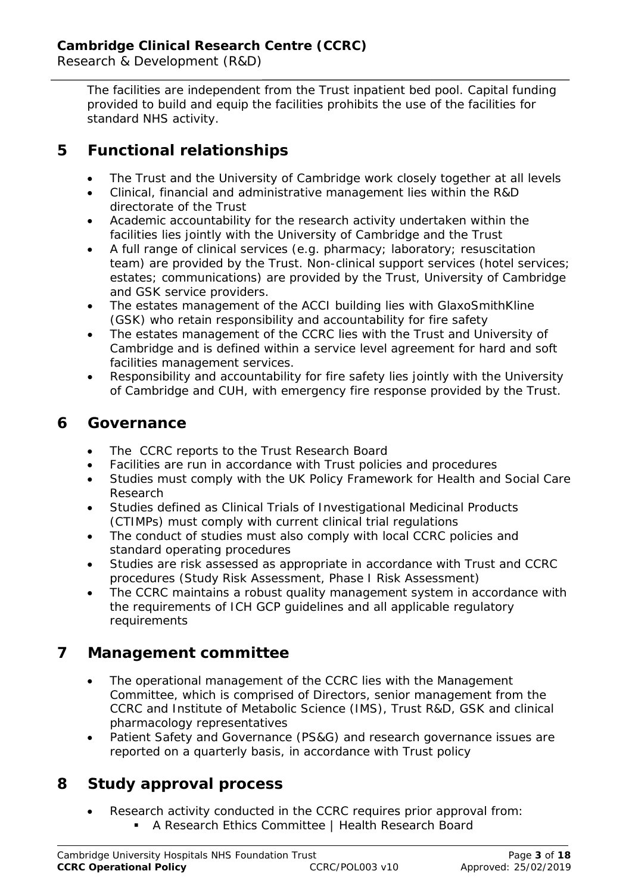The facilities are independent from the Trust inpatient bed pool. Capital funding provided to build and equip the facilities prohibits the use of the facilities for standard NHS activity.

# **5 Functional relationships**

- The Trust and the University of Cambridge work closely together at all levels
- Clinical, financial and administrative management lies within the R&D directorate of the Trust
- Academic accountability for the research activity undertaken within the facilities lies jointly with the University of Cambridge and the Trust
- A full range of clinical services (e.g. pharmacy; laboratory; resuscitation team) are provided by the Trust. Non-clinical support services (hotel services; estates; communications) are provided by the Trust, University of Cambridge and GSK service providers.
- The estates management of the ACCI building lies with GlaxoSmithKline (GSK) who retain responsibility and accountability for fire safety
- The estates management of the CCRC lies with the Trust and University of Cambridge and is defined within a service level agreement for hard and soft facilities management services.
- Responsibility and accountability for fire safety lies jointly with the University of Cambridge and CUH, with emergency fire response provided by the Trust.

# **6 Governance**

- The CCRC reports to the Trust Research Board
- Facilities are run in accordance with Trust policies and procedures
- Studies must comply with the UK Policy Framework for Health and Social Care Research
- Studies defined as Clinical Trials of Investigational Medicinal Products (CTIMPs) must comply with current clinical trial regulations
- The conduct of studies must also comply with local CCRC policies and standard operating procedures
- Studies are risk assessed as appropriate in accordance with Trust and CCRC procedures (Study Risk Assessment, Phase I Risk Assessment)
- The CCRC maintains a robust quality management system in accordance with the requirements of ICH GCP guidelines and all applicable regulatory requirements

# **7 Management committee**

- The operational management of the CCRC lies with the Management Committee, which is comprised of Directors, senior management from the CCRC and Institute of Metabolic Science (IMS), Trust R&D, GSK and clinical pharmacology representatives
- Patient Safety and Governance (PS&G) and research governance issues are reported on a quarterly basis, in accordance with Trust policy

# **8 Study approval process**

- Research activity conducted in the CCRC requires prior approval from:
	- A Research Ethics Committee | Health Research Board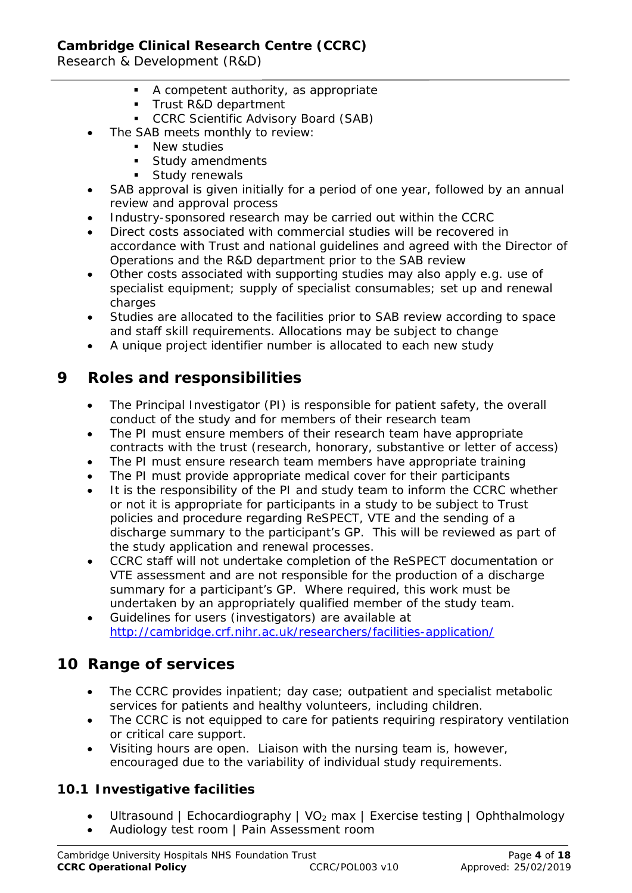Research & Development (R&D)

- A competent authority, as appropriate
- **Trust R&D department**
- **CCRC Scientific Advisory Board (SAB)**
- The SAB meets monthly to review:
	- **New studies**
	- **Study amendments**
	- **Study renewals**
- SAB approval is given initially for a period of one year, followed by an annual review and approval process
- Industry-sponsored research may be carried out within the CCRC
- Direct costs associated with commercial studies will be recovered in accordance with Trust and national guidelines and agreed with the Director of Operations and the R&D department prior to the SAB review
- Other costs associated with supporting studies may also apply e.g. use of specialist equipment; supply of specialist consumables; set up and renewal charges
- Studies are allocated to the facilities prior to SAB review according to space and staff skill requirements. Allocations may be subject to change
- A unique project identifier number is allocated to each new study

# **9 Roles and responsibilities**

- The Principal Investigator (PI) is responsible for patient safety, the overall conduct of the study and for members of their research team
- The PI must ensure members of their research team have appropriate contracts with the trust (research, honorary, substantive or letter of access)
- The PI must ensure research team members have appropriate training
- The PI must provide appropriate medical cover for their participants
- It is the responsibility of the PI and study team to inform the CCRC whether or not it is appropriate for participants in a study to be subject to Trust policies and procedure regarding ReSPECT, VTE and the sending of a discharge summary to the participant's GP. This will be reviewed as part of the study application and renewal processes.
- CCRC staff will not undertake completion of the ReSPECT documentation or VTE assessment and are not responsible for the production of a discharge summary for a participant's GP. Where required, this work must be undertaken by an appropriately qualified member of the study team.
- Guidelines for users (investigators) are available at <http://cambridge.crf.nihr.ac.uk/researchers/facilities-application/>

# **10 Range of services**

- The CCRC provides inpatient; day case; outpatient and specialist metabolic services for patients and healthy volunteers, including children.
- The CCRC is not equipped to care for patients requiring respiratory ventilation or critical care support.
- Visiting hours are open. Liaison with the nursing team is, however, encouraged due to the variability of individual study requirements.

# **10.1 Investigative facilities**

- Ultrasound | Echocardiography | VO<sub>2</sub> max | Exercise testing | Ophthalmology
- Audiology test room | Pain Assessment room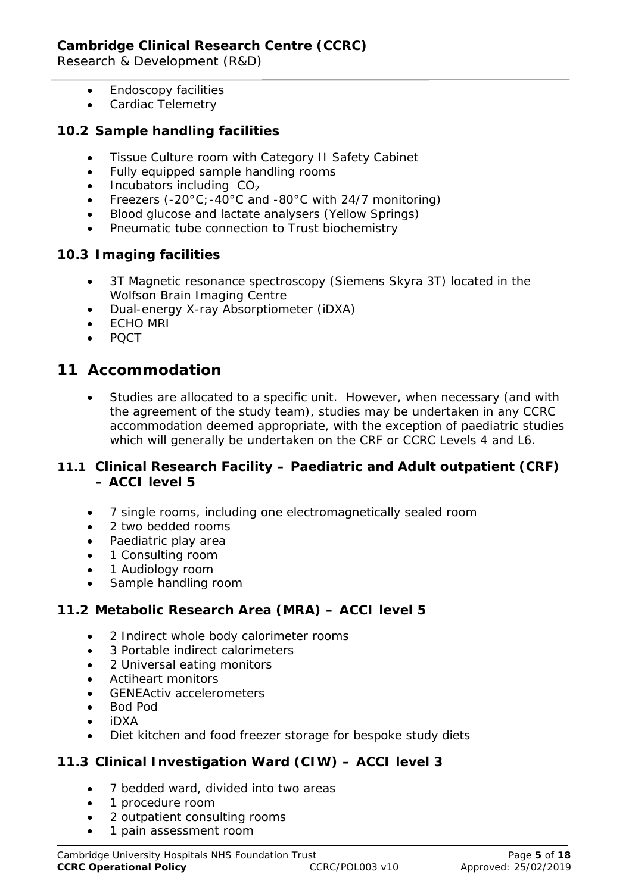- Endoscopy facilities
- Cardiac Telemetry

#### **10.2 Sample handling facilities**

- Tissue Culture room with Category II Safety Cabinet
- Fully equipped sample handling rooms
- $\bullet$  Incubators including  $CO<sub>2</sub>$
- Freezers (-20°C;-40°C and -80°C with 24/7 monitoring)
- Blood glucose and lactate analysers (Yellow Springs)
- Pneumatic tube connection to Trust biochemistry

### **10.3 Imaging facilities**

- 3T Magnetic resonance spectroscopy (Siemens Skyra 3T) located in the Wolfson Brain Imaging Centre
- Dual-energy X-ray Absorptiometer (iDXA)
- ECHO MRI
- PQCT

# **11 Accommodation**

Studies are allocated to a specific unit. However, when necessary (and with the agreement of the study team), studies may be undertaken in any CCRC accommodation deemed appropriate, with the exception of paediatric studies which will generally be undertaken on the CRF or CCRC Levels 4 and L6.

#### **11.1 Clinical Research Facility – Paediatric and Adult outpatient (CRF) – ACCI level 5**

- 7 single rooms, including one electromagnetically sealed room
- 2 two bedded rooms
- Paediatric play area
- 1 Consulting room
- 1 Audiology room
- Sample handling room

#### **11.2 Metabolic Research Area (MRA) – ACCI level 5**

- 2 Indirect whole body calorimeter rooms
- 3 Portable indirect calorimeters
- 2 Universal eating monitors
- Actiheart monitors
- GENEActiv accelerometers
- Bod Pod
- iDXA
- Diet kitchen and food freezer storage for bespoke study diets

#### **11.3 Clinical Investigation Ward (CIW) – ACCI level 3**

- 7 bedded ward, divided into two areas
- 1 procedure room
- 2 outpatient consulting rooms
- 1 pain assessment room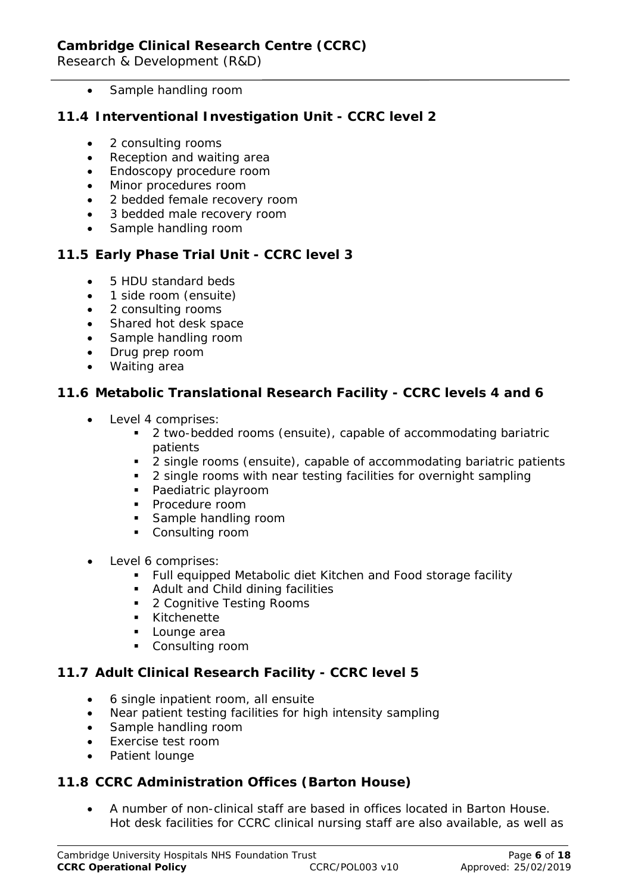• Sample handling room

### **11.4 Interventional Investigation Unit - CCRC level 2**

- 2 consulting rooms
- Reception and waiting area
- Endoscopy procedure room
- Minor procedures room
- 2 bedded female recovery room
- 3 bedded male recovery room
- Sample handling room

## **11.5 Early Phase Trial Unit - CCRC level 3**

- 5 HDU standard beds
- 1 side room (ensuite)
- 2 consulting rooms
- Shared hot desk space
- Sample handling room
- Drug prep room
- Waiting area

### **11.6 Metabolic Translational Research Facility - CCRC levels 4 and 6**

- Level 4 comprises:
	- 2 two-bedded rooms (ensuite), capable of accommodating bariatric patients
	- 2 single rooms (ensuite), capable of accommodating bariatric patients
	- **2** single rooms with near testing facilities for overnight sampling
	- Paediatric playroom
	- **Procedure room**
	- **Sample handling room**
	- Consulting room
- Level 6 comprises:
	- Full equipped Metabolic diet Kitchen and Food storage facility
	- **Adult and Child dining facilities**
	- 2 Cognitive Testing Rooms
	- **Kitchenette**
	- **Lounge** area
	- **Consulting room**

## **11.7 Adult Clinical Research Facility - CCRC level 5**

- 6 single inpatient room, all ensuite
- Near patient testing facilities for high intensity sampling
- Sample handling room
- Exercise test room
- Patient lounge

#### **11.8 CCRC Administration Offices (Barton House)**

• A number of non-clinical staff are based in offices located in Barton House. Hot desk facilities for CCRC clinical nursing staff are also available, as well as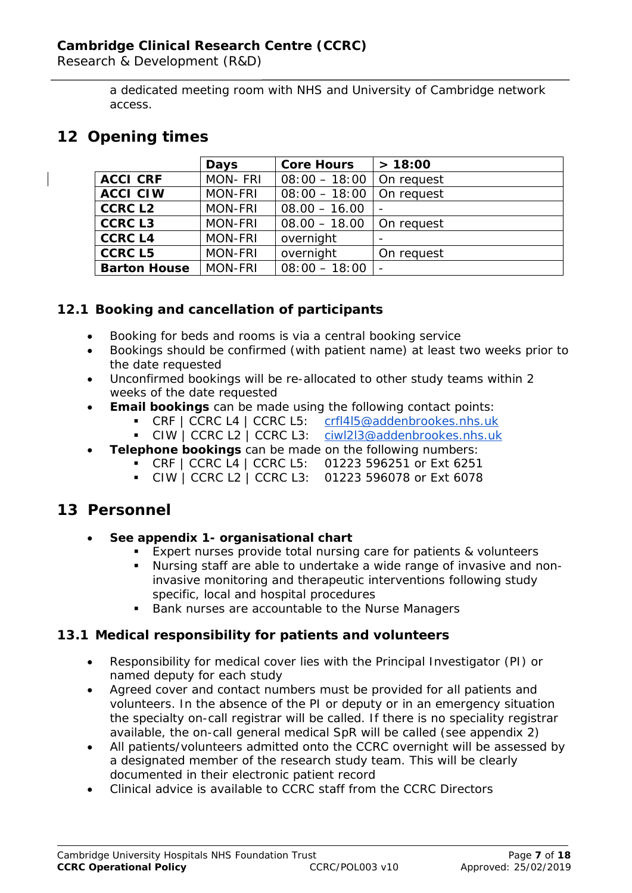Research & Development (R&D)

a dedicated meeting room with NHS and University of Cambridge network access.

# **12 Opening times**

|                     | Days           | <b>Core Hours</b>            | > 18:00    |
|---------------------|----------------|------------------------------|------------|
| <b>ACCI CRF</b>     | <b>MON-FRI</b> | $08:00 - 18:00$   On request |            |
| <b>ACCI CIW</b>     | <b>MON-FRI</b> | $08:00 - 18:00$ On request   |            |
| <b>CCRC L2</b>      | <b>MON-FRI</b> | $08.00 - 16.00$              |            |
| <b>CCRC L3</b>      | <b>MON-FRI</b> | $08.00 - 18.00$              | On request |
| <b>CCRC L4</b>      | <b>MON-FRI</b> | overnight                    |            |
| <b>CCRC L5</b>      | <b>MON-FRI</b> | overnight                    | On request |
| <b>Barton House</b> | <b>MON-FRI</b> | $08:00 - 18:00$              |            |

## **12.1 Booking and cancellation of participants**

- Booking for beds and rooms is via a central booking service
- Bookings should be confirmed (with patient name) at least two weeks prior to the date requested
- Unconfirmed bookings will be re-allocated to other study teams within 2 weeks of the date requested
- **Email bookings** can be made using the following contact points:
	- CRF | CCRC L4 | CCRC L5: [crfl4l5@addenbrookes.nhs.uk](mailto:crfl4l5@addenbrookes.nhs.uk)
		- CIW | CCRC L2 | CCRC L3: [ciwl2l3@addenbrookes.nhs.uk](mailto:ciwl2l3@addenbrookes.nhs.uk)
- **Telephone bookings** can be made on the following numbers:
	- CRF | CCRC L4 | CCRC L5: 01223 596251 or Ext 6251
	- CIW | CCRC L2 | CCRC L3: 01223 596078 or Ext 6078

# **13 Personnel**

- **See appendix 1- organisational chart**
	- Expert nurses provide total nursing care for patients & volunteers
	- Nursing staff are able to undertake a wide range of invasive and noninvasive monitoring and therapeutic interventions following study specific, local and hospital procedures
	- Bank nurses are accountable to the Nurse Managers

## **13.1 Medical responsibility for patients and volunteers**

- Responsibility for medical cover lies with the Principal Investigator (PI) or named deputy for each study
- Agreed cover and contact numbers must be provided for all patients and volunteers. In the absence of the PI or deputy or in an emergency situation the specialty on-call registrar will be called. If there is no speciality registrar available, the on-call general medical SpR will be called (see appendix 2)
- All patients/volunteers admitted onto the CCRC overnight will be assessed by a designated member of the research study team. This will be clearly documented in their electronic patient record
- Clinical advice is available to CCRC staff from the CCRC Directors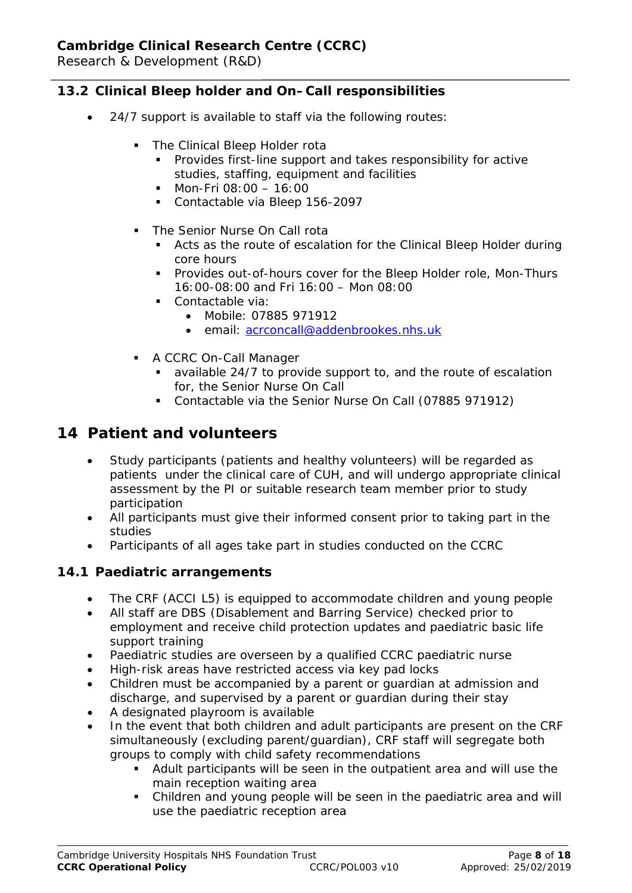## **13.2 Clinical Bleep holder and On–Call responsibilities**

- 24/7 support is available to staff via the following routes:
	- The Clinical Bleep Holder rota
		- Provides first-line support and takes responsibility for active studies, staffing, equipment and facilities
		- $\blacksquare$  Mon-Fri 08:00 16:00
		- Contactable via Bleep 156-2097
	- The Senior Nurse On Call rota
		- Acts as the route of escalation for the Clinical Bleep Holder during core hours
		- **Provides out-of-hours cover for the Bleep Holder role, Mon-Thurs** 16:00-08:00 and Fri 16:00 – Mon 08:00
		- **Contactable via:** 
			- Mobile: 07885 971912
			- email: [acrconcall@addenbrookes.nhs.uk](mailto:acrconcall@addenbrookes.nhs.uk)
	- **A CCRC On-Call Manager** 
		- available 24/7 to provide support to, and the route of escalation for, the Senior Nurse On Call
		- Contactable via the Senior Nurse On Call (07885 971912)

# **14 Patient and volunteers**

- Study participants (patients and healthy volunteers) will be regarded as patients under the clinical care of CUH, and will undergo appropriate clinical assessment by the PI or suitable research team member prior to study participation
- All participants must give their informed consent prior to taking part in the studies
- Participants of all ages take part in studies conducted on the CCRC

#### **14.1 Paediatric arrangements**

- The CRF (ACCI L5) is equipped to accommodate children and young people
- All staff are DBS (Disablement and Barring Service) checked prior to employment and receive child protection updates and paediatric basic life support training
- Paediatric studies are overseen by a qualified CCRC paediatric nurse
- High-risk areas have restricted access via key pad locks
- Children must be accompanied by a parent or guardian at admission and discharge, and supervised by a parent or guardian during their stay
- A designated playroom is available
- In the event that both children and adult participants are present on the CRF simultaneously (excluding parent/guardian), CRF staff will segregate both groups to comply with child safety recommendations
	- Adult participants will be seen in the outpatient area and will use the main reception waiting area
	- Children and young people will be seen in the paediatric area and will use the paediatric reception area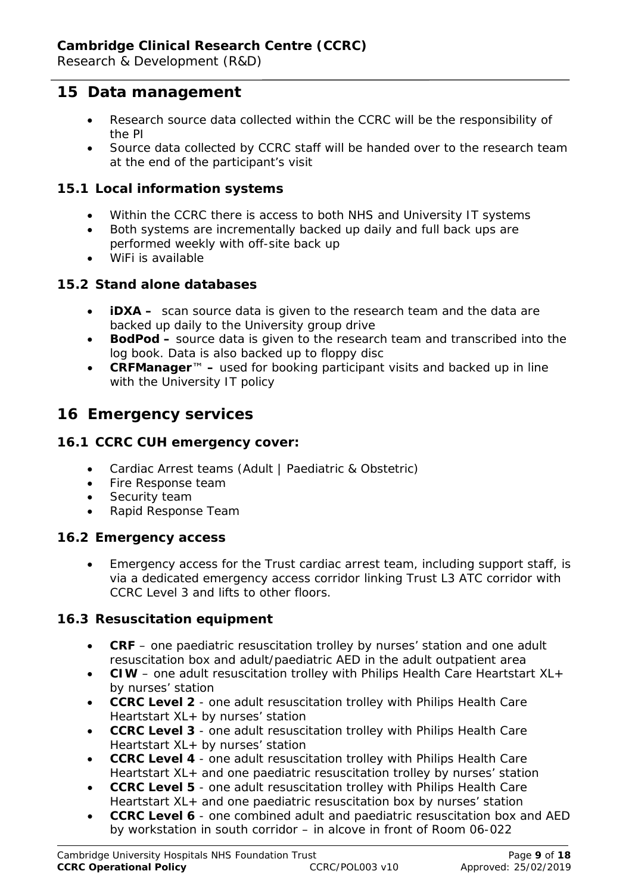# **15 Data management**

- Research source data collected within the CCRC will be the responsibility of the PI
- Source data collected by CCRC staff will be handed over to the research team at the end of the participant's visit

#### **15.1 Local information systems**

- Within the CCRC there is access to both NHS and University IT systems
- Both systems are incrementally backed up daily and full back ups are performed weekly with off-site back up
- WiFi is available

#### **15.2 Stand alone databases**

- **iDXA –** scan source data is given to the research team and the data are backed up daily to the University group drive
- **BodPod –** source data is given to the research team and transcribed into the log book. Data is also backed up to floppy disc
- **CRFManager**™ **–** used for booking participant visits and backed up in line with the University IT policy

# **16 Emergency services**

#### **16.1 CCRC CUH emergency cover:**

- Cardiac Arrest teams (Adult | Paediatric & Obstetric)
- Fire Response team
- Security team
- Rapid Response Team

#### **16.2 Emergency access**

• Emergency access for the Trust cardiac arrest team, including support staff, is via a dedicated emergency access corridor linking Trust L3 ATC corridor with CCRC Level 3 and lifts to other floors.

#### **16.3 Resuscitation equipment**

- **CRF** one paediatric resuscitation trolley by nurses' station and one adult resuscitation box and adult/paediatric AED in the adult outpatient area
- **CIW** one adult resuscitation trolley with Philips Health Care Heartstart XL+ by nurses' station
- **CCRC Level 2** one adult resuscitation trolley with Philips Health Care Heartstart XL+ by nurses' station
- **CCRC Level 3** one adult resuscitation trolley with Philips Health Care Heartstart XL+ by nurses' station
- **CCRC Level 4** one adult resuscitation trolley with Philips Health Care Heartstart XL+ and one paediatric resuscitation trolley by nurses' station
- **CCRC Level 5** one adult resuscitation trolley with Philips Health Care Heartstart XL+ and one paediatric resuscitation box by nurses' station
- **CCRC Level 6** one combined adult and paediatric resuscitation box and AED by workstation in south corridor – in alcove in front of Room 06-022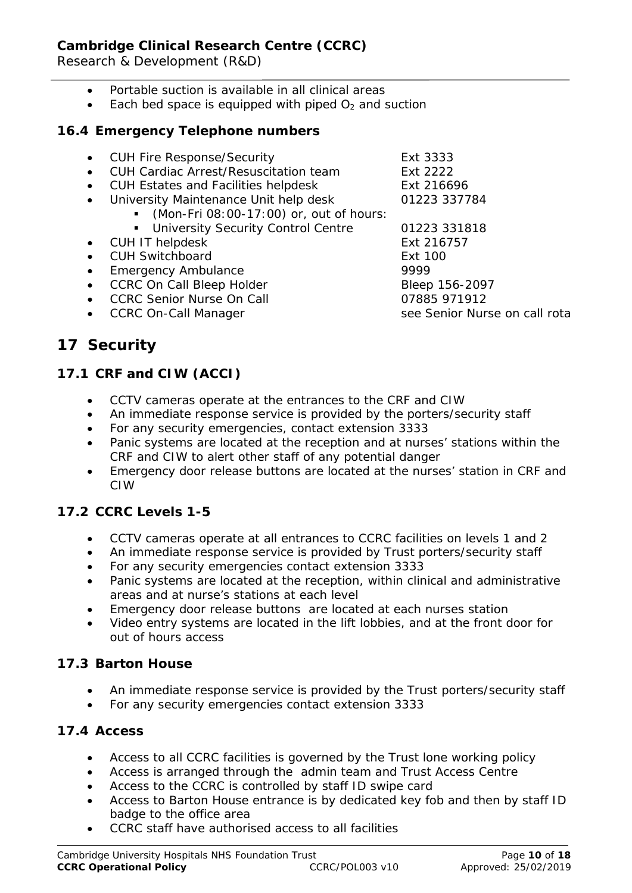Research & Development (R&D)

- Portable suction is available in all clinical areas
- Each bed space is equipped with piped  $O<sub>2</sub>$  and suction

### **16.4 Emergency Telephone numbers**

| • CUH Fire Response/Security              | Ext 3333       |
|-------------------------------------------|----------------|
| • CUH Cardiac Arrest/Resuscitation team   | Ext 2222       |
| • CUH Estates and Facilities helpdesk     | Ext 216696     |
| • University Maintenance Unit help desk   | 01223 337784   |
| • (Mon-Fri 08:00-17:00) or, out of hours: |                |
| • University Security Control Centre      | 01223 331818   |
| • CUH IT helpdesk                         | Ext 216757     |
| • CUH Switchboard                         | Ext 100        |
| • Emergency Ambulance                     | 9999           |
| • CCRC On Call Bleep Holder               | Bleep 156-2097 |
| • CCRC Senior Nurse On Call               | 07885 971912   |

CCRC On-Call Manager see Senior Nurse on call rota

**17 Security**

# **17.1 CRF and CIW (ACCI)**

- CCTV cameras operate at the entrances to the CRF and CIW
- An immediate response service is provided by the porters/security staff
- For any security emergencies, contact extension 3333
- Panic systems are located at the reception and at nurses' stations within the CRF and CIW to alert other staff of any potential danger
- Emergency door release buttons are located at the nurses' station in CRF and CIW

# **17.2 CCRC Levels 1-5**

- CCTV cameras operate at all entrances to CCRC facilities on levels 1 and 2
- An immediate response service is provided by Trust porters/security staff
- For any security emergencies contact extension 3333
- Panic systems are located at the reception, within clinical and administrative areas and at nurse's stations at each level
- Emergency door release buttons are located at each nurses station
- Video entry systems are located in the lift lobbies, and at the front door for out of hours access

## **17.3 Barton House**

- An immediate response service is provided by the Trust porters/security staff
- For any security emergencies contact extension 3333

## **17.4 Access**

- Access to all CCRC facilities is governed by the Trust lone working policy
- Access is arranged through the admin team and Trust Access Centre
- Access to the CCRC is controlled by staff ID swipe card
- Access to Barton House entrance is by dedicated key fob and then by staff ID badge to the office area
- CCRC staff have authorised access to all facilities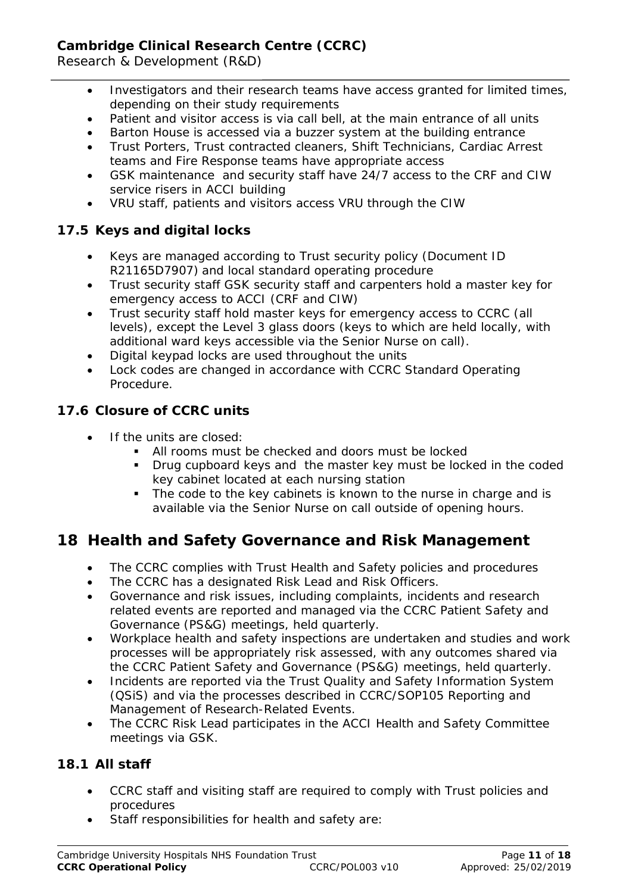Research & Development (R&D)

- Investigators and their research teams have access granted for limited times, depending on their study requirements
- Patient and visitor access is via call bell, at the main entrance of all units
- Barton House is accessed via a buzzer system at the building entrance
- Trust Porters, Trust contracted cleaners, Shift Technicians, Cardiac Arrest teams and Fire Response teams have appropriate access
- GSK maintenance and security staff have 24/7 access to the CRF and CIW service risers in ACCI building
- VRU staff, patients and visitors access VRU through the CIW

# **17.5 Keys and digital locks**

- Keys are managed according to Trust security policy (Document ID R21165D7907) and local standard operating procedure
- Trust security staff GSK security staff and carpenters hold a master key for emergency access to ACCI (CRF and CIW)
- Trust security staff hold master keys for emergency access to CCRC (all levels), except the Level 3 glass doors (keys to which are held locally, with additional ward keys accessible via the Senior Nurse on call).
- Digital keypad locks are used throughout the units
- Lock codes are changed in accordance with CCRC Standard Operating Procedure.

# **17.6 Closure of CCRC units**

- If the units are closed:
	- All rooms must be checked and doors must be locked
	- **Drug cupboard keys and the master key must be locked in the coded** key cabinet located at each nursing station
	- The code to the key cabinets is known to the nurse in charge and is available via the Senior Nurse on call outside of opening hours.

# **18 Health and Safety Governance and Risk Management**

- The CCRC complies with Trust Health and Safety policies and procedures
- The CCRC has a designated Risk Lead and Risk Officers.
- Governance and risk issues, including complaints, incidents and research related events are reported and managed via the CCRC Patient Safety and Governance (PS&G) meetings, held quarterly.
- Workplace health and safety inspections are undertaken and studies and work processes will be appropriately risk assessed, with any outcomes shared via the CCRC Patient Safety and Governance (PS&G) meetings, held quarterly.
- Incidents are reported via the Trust Quality and Safety Information System (QSiS) and via the processes described in CCRC/SOP105 Reporting and Management of Research-Related Events.
- The CCRC Risk Lead participates in the ACCI Health and Safety Committee meetings via GSK.

# **18.1 All staff**

- CCRC staff and visiting staff are required to comply with Trust policies and procedures
- Staff responsibilities for health and safety are: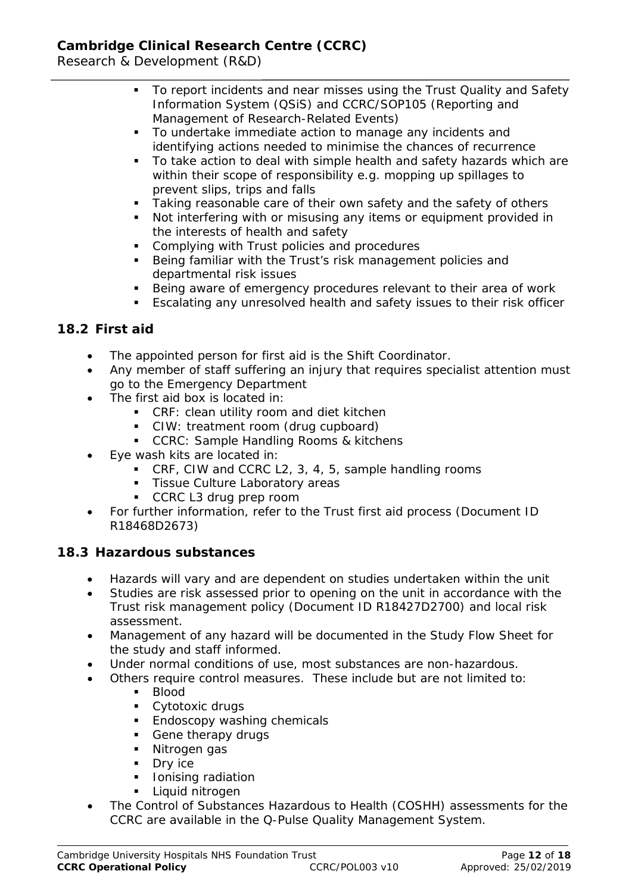Research & Development (R&D)

- To report incidents and near misses using the Trust Quality and Safety Information System (QSiS) and CCRC/SOP105 (Reporting and Management of Research-Related Events)
- To undertake immediate action to manage any incidents and identifying actions needed to minimise the chances of recurrence
- To take action to deal with simple health and safety hazards which are within their scope of responsibility e.g. mopping up spillages to prevent slips, trips and falls
- Taking reasonable care of their own safety and the safety of others
- Not interfering with or misusing any items or equipment provided in the interests of health and safety
- **Complying with Trust policies and procedures**
- **Being familiar with the Trust's risk management policies and** departmental risk issues
- Being aware of emergency procedures relevant to their area of work
- Escalating any unresolved health and safety issues to their risk officer

## **18.2 First aid**

- The appointed person for first aid is the Shift Coordinator.
- Any member of staff suffering an injury that requires specialist attention must go to the Emergency Department
- The first aid box is located in:
	- CRF: clean utility room and diet kitchen
	- CIW: treatment room (drug cupboard)
	- **CCRC: Sample Handling Rooms & kitchens**
- Eye wash kits are located in:
	- CRF, CIW and CCRC L2, 3, 4, 5, sample handling rooms
	- **Tissue Culture Laboratory areas**
	- CCRC L3 drug prep room
- For further information, refer to the Trust first aid process (Document ID R18468D2673)

## **18.3 Hazardous substances**

- Hazards will vary and are dependent on studies undertaken within the unit
- Studies are risk assessed prior to opening on the unit in accordance with the Trust risk management policy (Document ID R18427D2700) and local risk assessment.
- Management of any hazard will be documented in the Study Flow Sheet for the study and staff informed.
- Under normal conditions of use, most substances are non-hazardous.
- Others require control measures. These include but are not limited to:
	- Blood
	- **Cytotoxic drugs**
	- **Endoscopy washing chemicals**
	- Gene therapy drugs
	- Nitrogen gas
	- **Dry ice**
	- **I** lonising radiation
	- **Liquid nitrogen**
- The Control of Substances Hazardous to Health (COSHH) assessments for the CCRC are available in the Q-Pulse Quality Management System.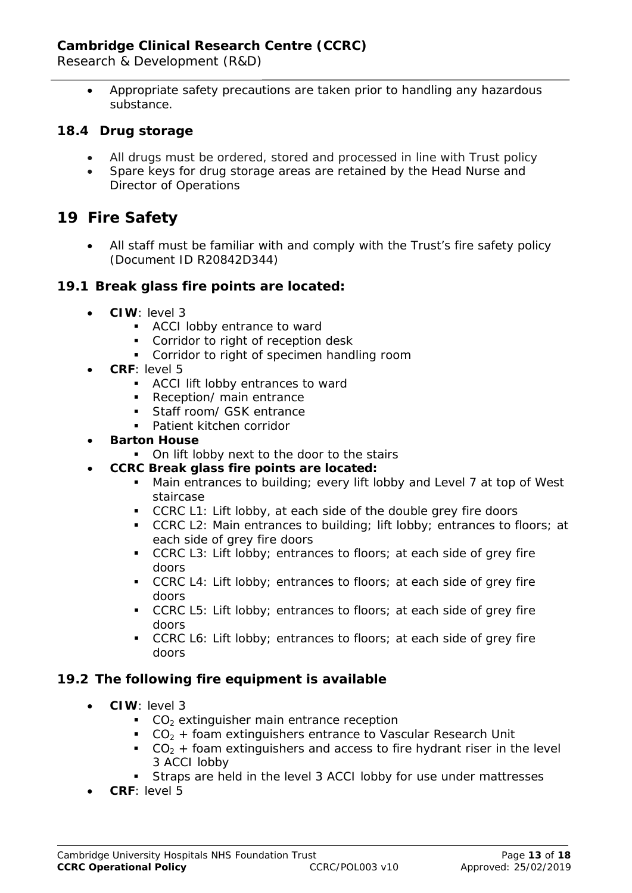Research & Development (R&D)

• Appropriate safety precautions are taken prior to handling any hazardous substance.

#### **18.4 Drug storage**

- All drugs must be ordered, stored and processed in line with Trust policy
- Spare keys for drug storage areas are retained by the Head Nurse and Director of Operations

# **19 Fire Safety**

• All staff must be familiar with and comply with the Trust's fire safety policy (Document ID R20842D344)

#### **19.1 Break glass fire points are located:**

- **CIW**: level 3
	- **ACCI lobby entrance to ward**
	- **Corridor to right of reception desk**
	- **Corridor to right of specimen handling room**
- **CRF**: level 5
	- ACCI lift lobby entrances to ward
	- Reception/ main entrance
	- **Staff room/ GSK entrance**
	- **Patient kitchen corridor**
- **Barton House**
	- On lift lobby next to the door to the stairs
- **CCRC Break glass fire points are located:**
	- Main entrances to building; every lift lobby and Level 7 at top of West staircase
	- CCRC L1: Lift lobby, at each side of the double grey fire doors
	- CCRC L2: Main entrances to building; lift lobby; entrances to floors; at each side of grey fire doors
	- CCRC L3: Lift lobby; entrances to floors; at each side of grey fire doors
	- CCRC L4: Lift lobby; entrances to floors; at each side of grey fire doors
	- CCRC L5: Lift lobby; entrances to floors; at each side of grey fire doors
	- CCRC L6: Lift lobby; entrances to floors; at each side of grey fire doors

#### **19.2 The following fire equipment is available**

- **CIW**: level 3
	- $\textdegree$  CO<sub>2</sub> extinguisher main entrance reception
	- $CO<sub>2</sub> +$  foam extinguishers entrance to Vascular Research Unit
	- $CO<sub>2</sub> +$  foam extinguishers and access to fire hydrant riser in the level 3 ACCI lobby
	- Straps are held in the level 3 ACCI lobby for use under mattresses
- **CRF**: level 5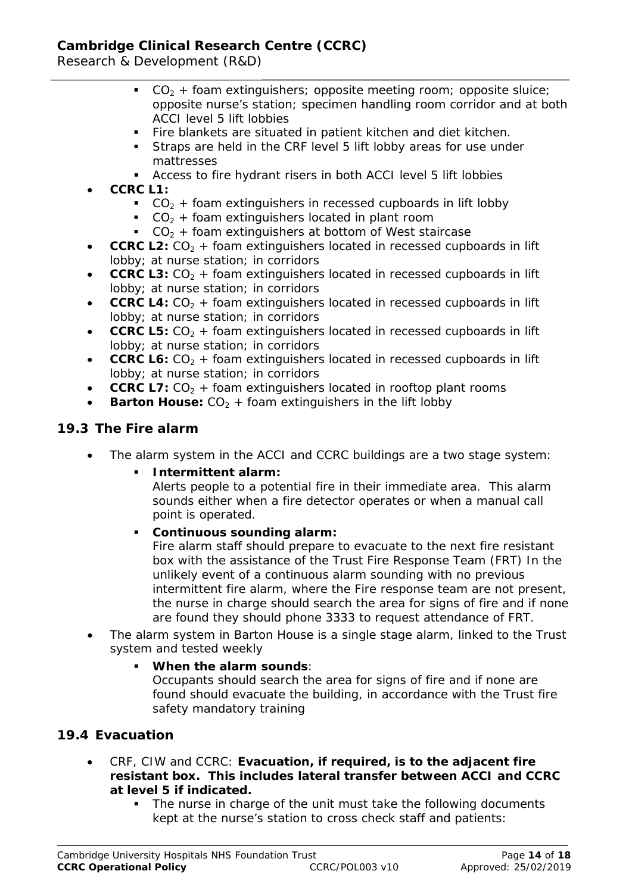Research & Development (R&D)

- $CO<sub>2</sub>$  + foam extinguishers; opposite meeting room; opposite sluice; opposite nurse's station; specimen handling room corridor and at both ACCI level 5 lift lobbies
- Fire blankets are situated in patient kitchen and diet kitchen.
- Straps are held in the CRF level 5 lift lobby areas for use under mattresses
- Access to fire hydrant risers in both ACCI level 5 lift lobbies
- **CCRC L1:**
	- $CO<sub>2</sub> +$  foam extinguishers in recessed cupboards in lift lobby
	- $CO<sub>2</sub> +$  foam extinguishers located in plant room
	- $CO<sub>2</sub> +$  foam extinguishers at bottom of West staircase
- **CCRC L2:**  $CO<sub>2</sub> +$  foam extinguishers located in recessed cupboards in lift lobby; at nurse station; in corridors
- **CCRC L3:**  $CO<sub>2</sub> +$  foam extinguishers located in recessed cupboards in lift lobby; at nurse station; in corridors
- **CCRC L4:**  $CO<sub>2</sub>$  + foam extinguishers located in recessed cupboards in lift lobby; at nurse station; in corridors
- **CCRC L5:**  $CO<sub>2</sub> +$  foam extinguishers located in recessed cupboards in lift lobby; at nurse station; in corridors
- **CCRC L6:** CO<sub>2</sub> + foam extinguishers located in recessed cupboards in lift lobby; at nurse station; in corridors
- **CCRC L7:**  $CO<sub>2</sub> +$  foam extinguishers located in rooftop plant rooms
- **Barton House:**  $CO<sub>2</sub> +$  foam extinguishers in the lift lobby

# **19.3 The Fire alarm**

The alarm system in the ACCI and CCRC buildings are a two stage system:

## **Intermittent alarm:**

Alerts people to a potential fire in their immediate area. This alarm sounds either when a fire detector operates or when a manual call point is operated.

## **Continuous sounding alarm:**

Fire alarm staff should prepare to evacuate to the next fire resistant box with the assistance of the Trust Fire Response Team (FRT) In the unlikely event of a continuous alarm sounding with no previous intermittent fire alarm, where the Fire response team are not present, the nurse in charge should search the area for signs of fire and if none are found they should phone 3333 to request attendance of FRT.

• The alarm system in Barton House is a single stage alarm, linked to the Trust system and tested weekly

## **When the alarm sounds**:

Occupants should search the area for signs of fire and if none are found should evacuate the building, in accordance with the Trust fire safety mandatory training

## **19.4 Evacuation**

- CRF, CIW and CCRC: **Evacuation, if required, is to the adjacent fire resistant box. This includes lateral transfer between ACCI and CCRC at level 5 if indicated.**
	- The nurse in charge of the unit must take the following documents kept at the nurse's station to cross check staff and patients: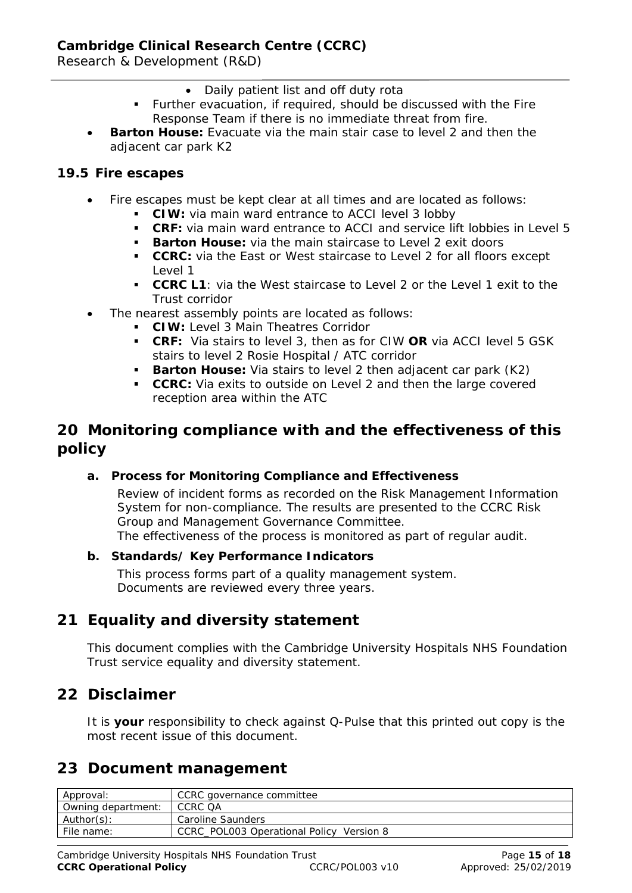Research & Development (R&D)

- Daily patient list and off duty rota
- Further evacuation, if required, should be discussed with the Fire Response Team if there is no immediate threat from fire.
- **Barton House:** Evacuate via the main stair case to level 2 and then the adjacent car park K2

#### **19.5 Fire escapes**

- Fire escapes must be kept clear at all times and are located as follows:
	- **CIW:** via main ward entrance to ACCI level 3 lobby
	- **CRF:** via main ward entrance to ACCI and service lift lobbies in Level 5
	- **Barton House:** via the main staircase to Level 2 exit doors
	- **CCRC:** via the East or West staircase to Level 2 for all floors except Level 1
	- **CCRC L1**: via the West staircase to Level 2 or the Level 1 exit to the Trust corridor
- The nearest assembly points are located as follows:
	- **CIW:** Level 3 Main Theatres Corridor
	- **CRF:** Via stairs to level 3, then as for CIW **OR** via ACCI level 5 GSK stairs to level 2 Rosie Hospital / ATC corridor
	- **Barton House:** Via stairs to level 2 then adjacent car park (K2)
	- **CCRC:** Via exits to outside on Level 2 and then the large covered reception area within the ATC

# **20 Monitoring compliance with and the effectiveness of this policy**

#### **a. Process for Monitoring Compliance and Effectiveness**

Review of incident forms as recorded on the Risk Management Information System for non-compliance. The results are presented to the CCRC Risk Group and Management Governance Committee. The effectiveness of the process is monitored as part of regular audit.

#### **b. Standards/ Key Performance Indicators**

This process forms part of a quality management system. Documents are reviewed every three years.

# **21 Equality and diversity statement**

This document complies with the Cambridge University Hospitals NHS Foundation Trust service equality and diversity statement.

# **22 Disclaimer**

It is **your** responsibility to check against Q-Pulse that this printed out copy is the most recent issue of this document.

# **23 Document management**

| Approval:          | CCRC governance committee                |  |
|--------------------|------------------------------------------|--|
| Owning department: | CCRC QA                                  |  |
| Author(s):         | Caroline Saunders                        |  |
| File name:         | CCRC POLO03 Operational Policy Version 8 |  |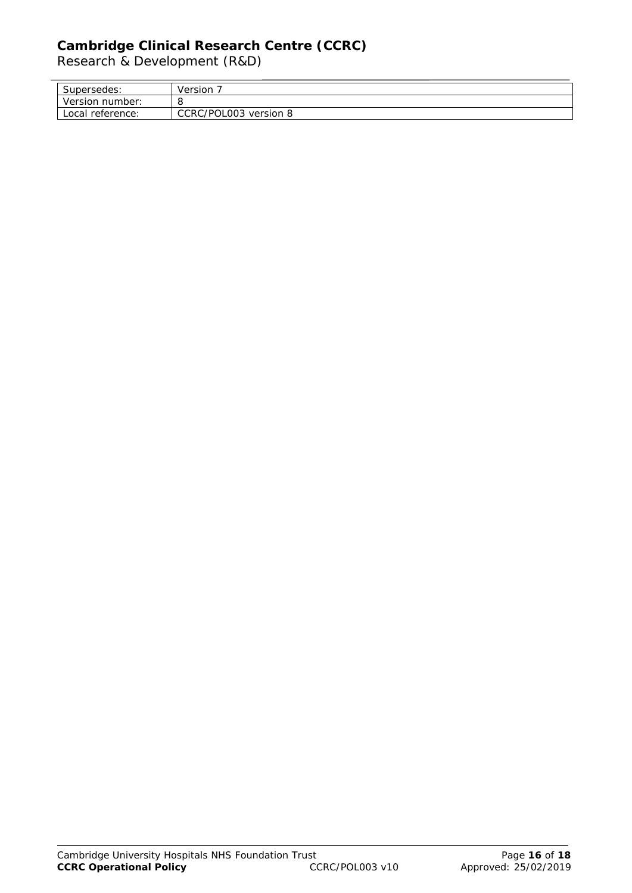Research & Development (R&D)

l,

| $\overline{ }$<br>Supersedes: | Version                  |
|-------------------------------|--------------------------|
| Version<br>number:            | O                        |
| Local<br>reference:           | CCRC/POL003<br>version 8 |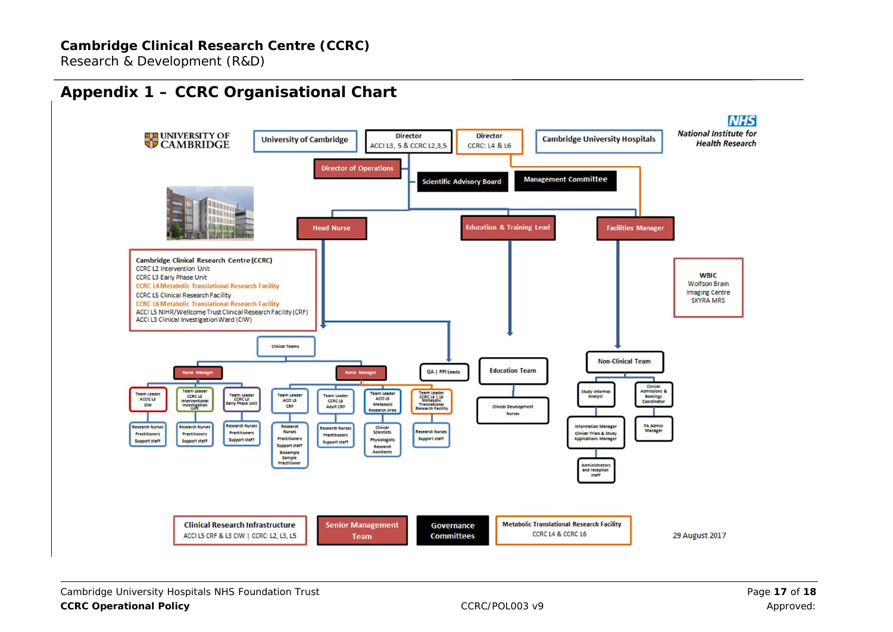